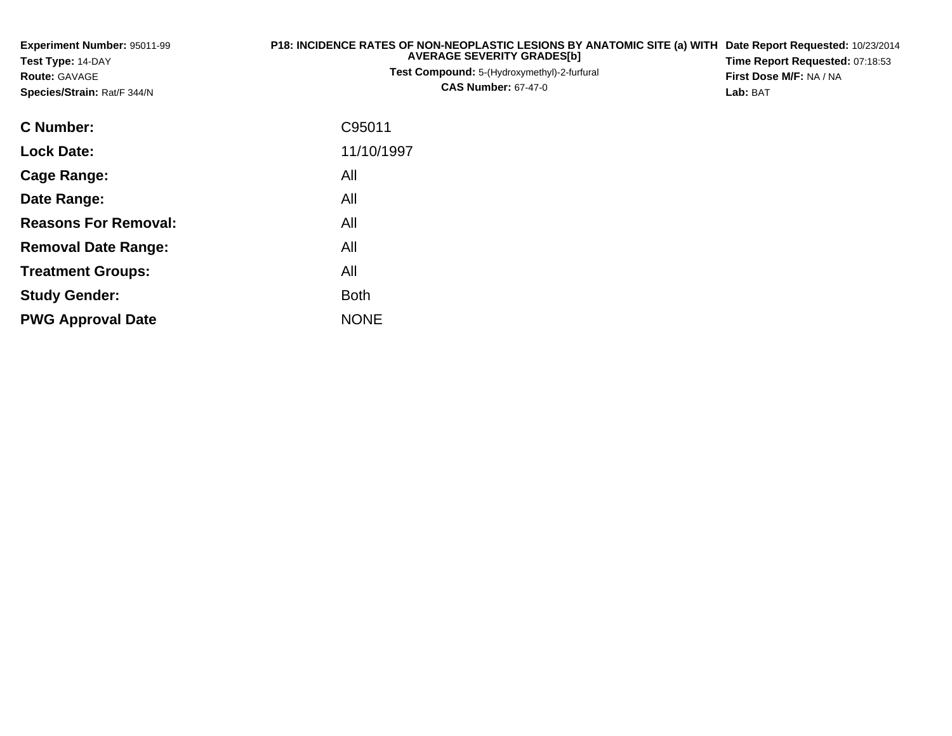| Experiment Number: 95011-99<br>Test Type: 14-DAY<br><b>Route: GAVAGE</b><br>Species/Strain: Rat/F 344/N | P18: INCIDENCE RATES OF NON-NEOPLASTIC LESIONS BY ANATOMIC SITE (a) WITH<br><b>AVERAGE SEVERITY GRADES[b]</b><br>Test Compound: 5-(Hydroxymethyl)-2-furfural<br><b>CAS Number: 67-47-0</b> | Date Report Requested: 10/23/2014<br>Time Report Requested: 07:18:53<br>First Dose M/F: NA / NA<br>Lab: BAT |  |  |
|---------------------------------------------------------------------------------------------------------|--------------------------------------------------------------------------------------------------------------------------------------------------------------------------------------------|-------------------------------------------------------------------------------------------------------------|--|--|
| <b>C</b> Number:                                                                                        | C95011                                                                                                                                                                                     |                                                                                                             |  |  |
| <b>Lock Date:</b>                                                                                       | 11/10/1997                                                                                                                                                                                 |                                                                                                             |  |  |
| Cage Range:                                                                                             | All                                                                                                                                                                                        |                                                                                                             |  |  |
| Date Range:                                                                                             | All                                                                                                                                                                                        |                                                                                                             |  |  |
| <b>Reasons For Removal:</b>                                                                             | All                                                                                                                                                                                        |                                                                                                             |  |  |
| <b>Removal Date Range:</b>                                                                              | All                                                                                                                                                                                        |                                                                                                             |  |  |
| <b>Treatment Groups:</b>                                                                                | All                                                                                                                                                                                        |                                                                                                             |  |  |
| <b>Study Gender:</b>                                                                                    | <b>Both</b>                                                                                                                                                                                |                                                                                                             |  |  |

e NONE

**PWG Approval Date**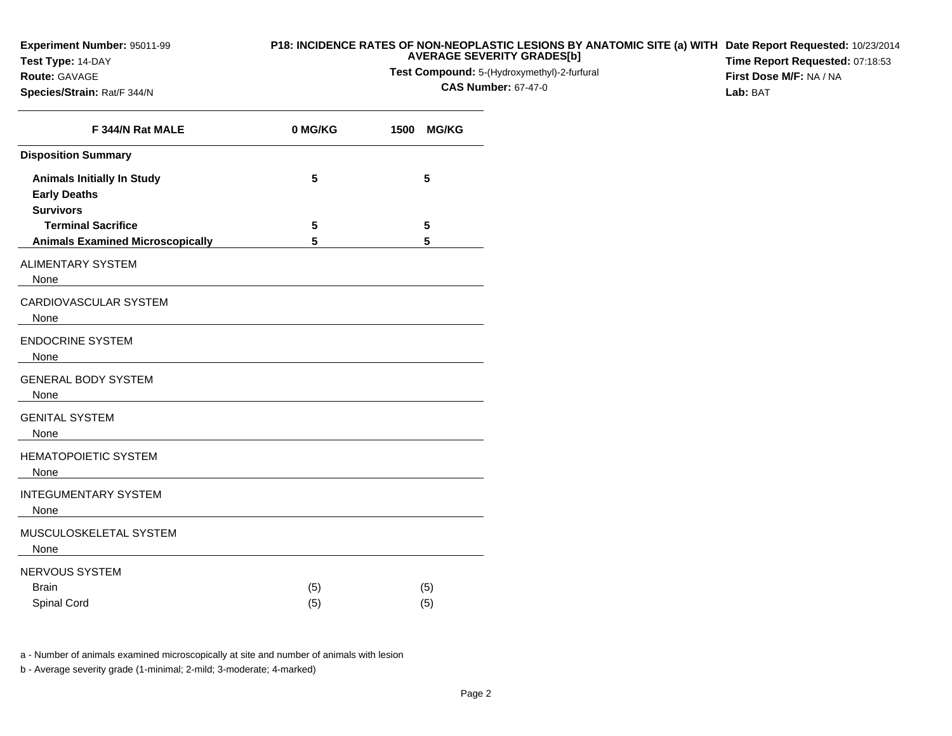**Experiment Number:** 95011-99

**Species/Strain:** Rat/F 344/N

**Test Type:** 14-DAY**Route:** GAVAGE

## **P18: INCIDENCE RATES OF NON-NEOPLASTIC LESIONS BY ANATOMIC SITE (a) WITH AVERAGE SEVERITY GRADES[b] Date Report Requested:** 10/23/2014

**Test Compound:** 5-(Hydroxymethyl)-2-furfural

**CAS Number:** 67-47-0

**Time Report Requested:** 07:18:53**First Dose M/F:** NA / NA**Lab:** BAT

| F 344/N Rat MALE                                                             | 0 MG/KG    | 1500<br><b>MG/KG</b> |
|------------------------------------------------------------------------------|------------|----------------------|
| <b>Disposition Summary</b>                                                   |            |                      |
| <b>Animals Initially In Study</b><br><b>Early Deaths</b><br><b>Survivors</b> | 5          | 5                    |
| <b>Terminal Sacrifice</b>                                                    | 5          | 5                    |
| <b>Animals Examined Microscopically</b>                                      | 5          | 5                    |
| <b>ALIMENTARY SYSTEM</b><br>None                                             |            |                      |
| CARDIOVASCULAR SYSTEM<br>None                                                |            |                      |
| <b>ENDOCRINE SYSTEM</b><br>None                                              |            |                      |
| <b>GENERAL BODY SYSTEM</b><br>None                                           |            |                      |
| <b>GENITAL SYSTEM</b><br>None                                                |            |                      |
| <b>HEMATOPOIETIC SYSTEM</b><br>None                                          |            |                      |
| <b>INTEGUMENTARY SYSTEM</b><br>None                                          |            |                      |
| MUSCULOSKELETAL SYSTEM<br>None                                               |            |                      |
| NERVOUS SYSTEM<br><b>Brain</b><br>Spinal Cord                                | (5)<br>(5) | (5)<br>(5)           |

a - Number of animals examined microscopically at site and number of animals with lesion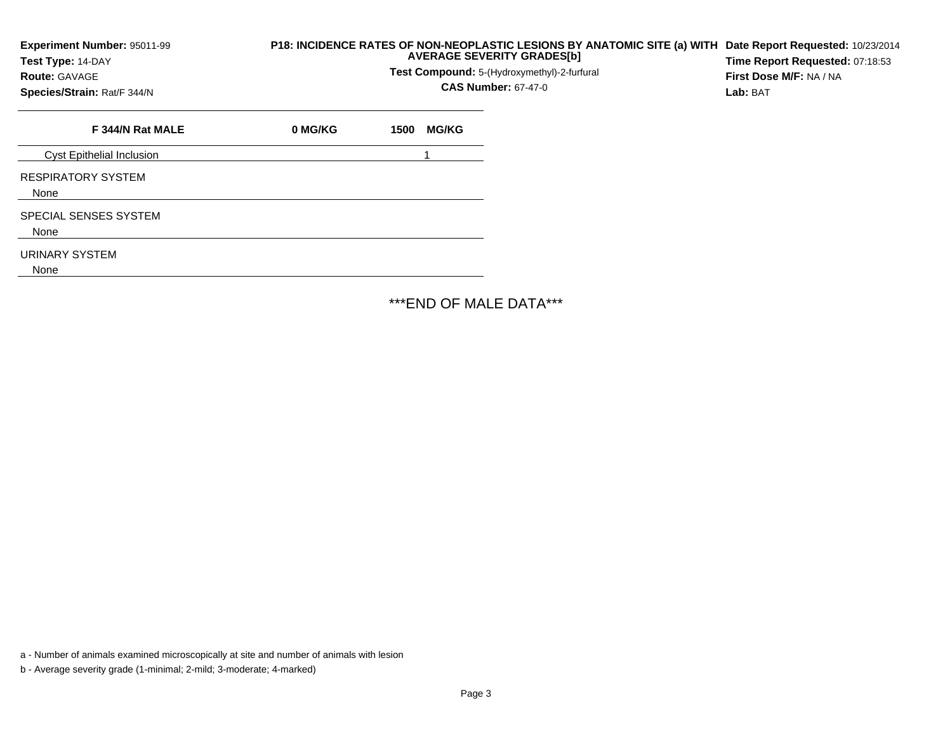| Experiment Number: 95011-99<br>Test Type: 14-DAY<br><b>Route: GAVAGE</b><br>Species/Strain: Rat/F 344/N | P18: INCIDENCE RATES OF NON-NEOPLASTIC LESIONS BY ANATOMIC SITE (a) WITH | Date Report Requested: 10/23/2014<br>Time Report Requested: 07:18:53<br>First Dose M/F: NA / NA<br>Lab: BAT |              |  |  |
|---------------------------------------------------------------------------------------------------------|--------------------------------------------------------------------------|-------------------------------------------------------------------------------------------------------------|--------------|--|--|
| F 344/N Rat MALE                                                                                        | 0 MG/KG                                                                  | 1500                                                                                                        | <b>MG/KG</b> |  |  |
| <b>Cyst Epithelial Inclusion</b>                                                                        |                                                                          |                                                                                                             |              |  |  |
| <b>RESPIRATORY SYSTEM</b><br>None                                                                       |                                                                          |                                                                                                             |              |  |  |
| SPECIAL SENSES SYSTEM<br>None                                                                           |                                                                          |                                                                                                             |              |  |  |
| URINARY SYSTEM<br>None                                                                                  |                                                                          |                                                                                                             |              |  |  |

\*\*\*END OF MALE DATA\*\*\*

a - Number of animals examined microscopically at site and number of animals with lesion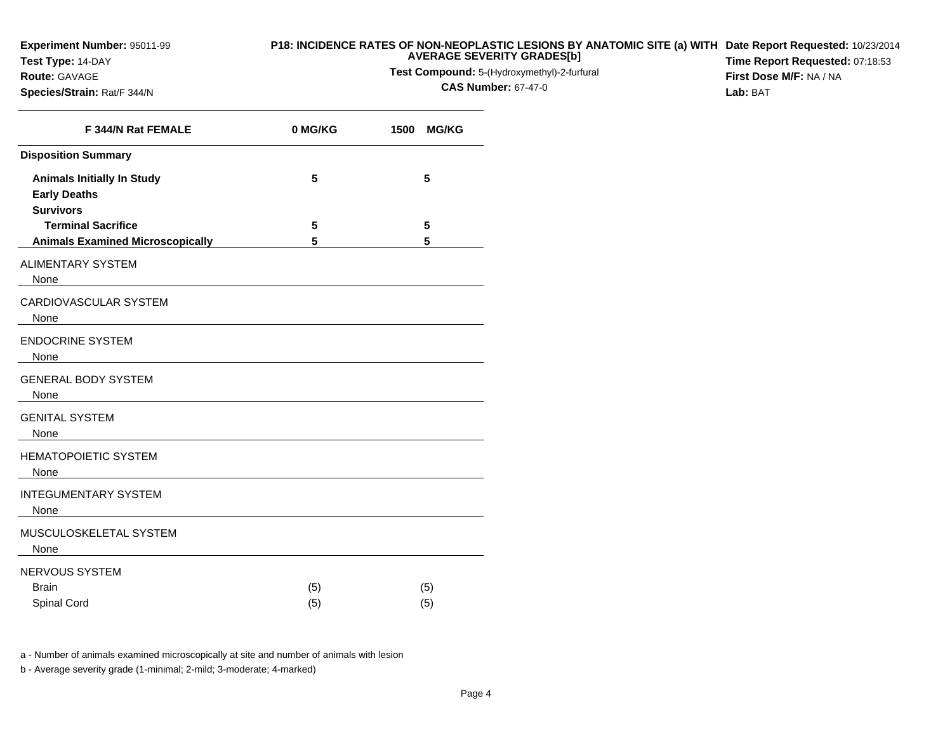**Experiment Number:** 95011-99

**Species/Strain:** Rat/F 344/N

**Test Type:** 14-DAY**Route:** GAVAGE

## **P18: INCIDENCE RATES OF NON-NEOPLASTIC LESIONS BY ANATOMIC SITE (a) WITH AVERAGE SEVERITY GRADES[b] Date Report Requested:** 10/23/2014

**Test Compound:** 5-(Hydroxymethyl)-2-furfural

**CAS Number:** 67-47-0

**Time Report Requested:** 07:18:53**First Dose M/F:** NA / NA**Lab:** BAT

| F 344/N Rat FEMALE                                                                                                                                           | 0 MG/KG    | 1500<br><b>MG/KG</b> |
|--------------------------------------------------------------------------------------------------------------------------------------------------------------|------------|----------------------|
| <b>Disposition Summary</b>                                                                                                                                   |            |                      |
| <b>Animals Initially In Study</b><br><b>Early Deaths</b><br><b>Survivors</b>                                                                                 | 5          | 5                    |
| <b>Terminal Sacrifice</b>                                                                                                                                    | 5          | 5                    |
| <b>Animals Examined Microscopically</b>                                                                                                                      | 5          | 5                    |
| <b>ALIMENTARY SYSTEM</b><br>None                                                                                                                             |            |                      |
| CARDIOVASCULAR SYSTEM<br>None<br><u> 1989 - Andrea Station Barbara, amerikan personal personal personal personal personal personal personal personal per</u> |            |                      |
| <b>ENDOCRINE SYSTEM</b><br>None                                                                                                                              |            |                      |
| <b>GENERAL BODY SYSTEM</b><br>None                                                                                                                           |            |                      |
| <b>GENITAL SYSTEM</b><br>None                                                                                                                                |            |                      |
| <b>HEMATOPOIETIC SYSTEM</b><br>None                                                                                                                          |            |                      |
| <b>INTEGUMENTARY SYSTEM</b><br>None                                                                                                                          |            |                      |
| MUSCULOSKELETAL SYSTEM<br>None                                                                                                                               |            |                      |
| NERVOUS SYSTEM<br><b>Brain</b><br>Spinal Cord                                                                                                                | (5)<br>(5) | (5)<br>(5)           |

a - Number of animals examined microscopically at site and number of animals with lesion